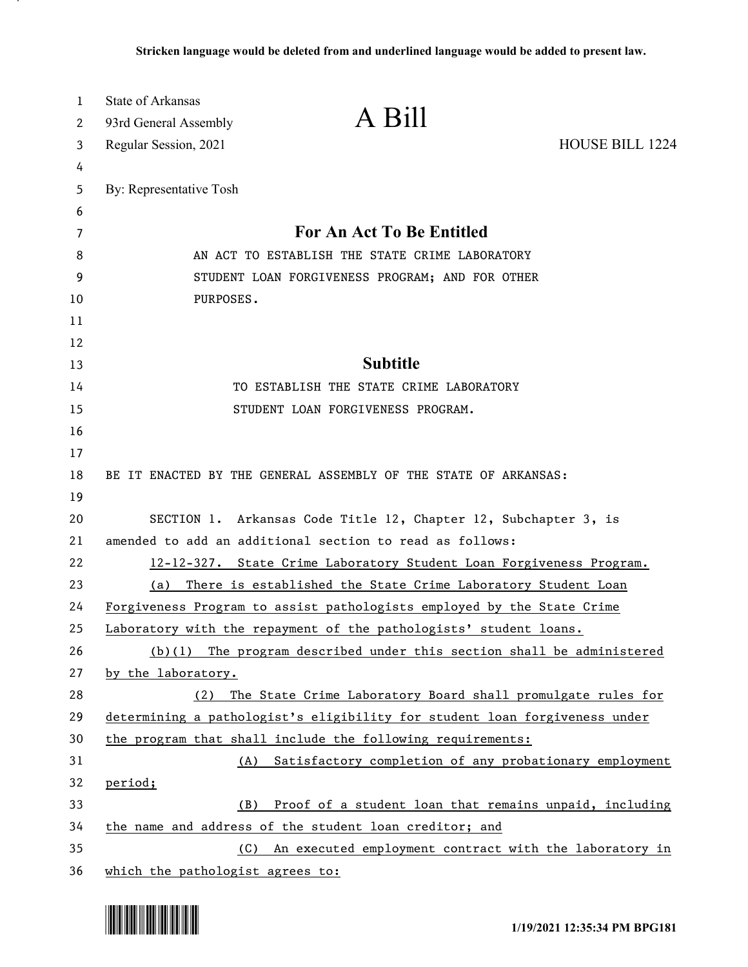| 1<br>2 | State of Arkansas                                                      | A Bill                                                                     |                 |
|--------|------------------------------------------------------------------------|----------------------------------------------------------------------------|-----------------|
|        | 93rd General Assembly<br>Regular Session, 2021                         |                                                                            | HOUSE BILL 1224 |
| 3<br>4 |                                                                        |                                                                            |                 |
| 5      | By: Representative Tosh                                                |                                                                            |                 |
| 6      |                                                                        |                                                                            |                 |
| 7      |                                                                        | For An Act To Be Entitled                                                  |                 |
| 8      |                                                                        | AN ACT TO ESTABLISH THE STATE CRIME LABORATORY                             |                 |
| 9      |                                                                        | STUDENT LOAN FORGIVENESS PROGRAM; AND FOR OTHER                            |                 |
| 10     | PURPOSES.                                                              |                                                                            |                 |
| 11     |                                                                        |                                                                            |                 |
| 12     |                                                                        |                                                                            |                 |
| 13     |                                                                        | <b>Subtitle</b>                                                            |                 |
| 14     |                                                                        | TO ESTABLISH THE STATE CRIME LABORATORY                                    |                 |
| 15     |                                                                        | STUDENT LOAN FORGIVENESS PROGRAM.                                          |                 |
| 16     |                                                                        |                                                                            |                 |
| 17     |                                                                        |                                                                            |                 |
| 18     |                                                                        | BE IT ENACTED BY THE GENERAL ASSEMBLY OF THE STATE OF ARKANSAS:            |                 |
| 19     |                                                                        |                                                                            |                 |
| 20     | SECTION 1. Arkansas Code Title 12, Chapter 12, Subchapter 3, is        |                                                                            |                 |
| 21     | amended to add an additional section to read as follows:               |                                                                            |                 |
| 22     | 12-12-327. State Crime Laboratory Student Loan Forgiveness Program.    |                                                                            |                 |
| 23     | There is established the State Crime Laboratory Student Loan<br>(a)    |                                                                            |                 |
| 24     | Forgiveness Program to assist pathologists employed by the State Crime |                                                                            |                 |
| 25     |                                                                        | Laboratory with the repayment of the pathologists' student loans.          |                 |
| 26     |                                                                        | $(b)(1)$ The program described under this section shall be administered    |                 |
| 27     | by the laboratory.                                                     |                                                                            |                 |
| 28     | (2)                                                                    | The State Crime Laboratory Board shall promulgate rules for                |                 |
| 29     |                                                                        | determining a pathologist's eligibility for student loan forgiveness under |                 |
| 30     |                                                                        | the program that shall include the following requirements:                 |                 |
| 31     |                                                                        | (A) Satisfactory completion of any probationary employment                 |                 |
| 32     | period;                                                                |                                                                            |                 |
| 33     | (B)                                                                    | Proof of a student loan that remains unpaid, including                     |                 |
| 34     |                                                                        | the name and address of the student loan creditor; and                     |                 |
| 35     | (C)                                                                    | An executed employment contract with the laboratory in                     |                 |
| 36     | which the pathologist agrees to:                                       |                                                                            |                 |